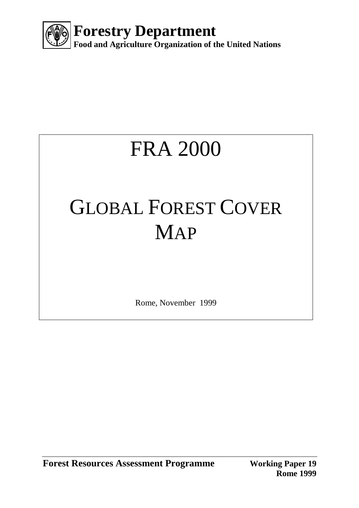

# FRA 2000

# GLOBAL FOREST COVER MAP

Rome, November 1999

**Forest Resources Assessment Programme Working Paper 19** 

**Rome 1999**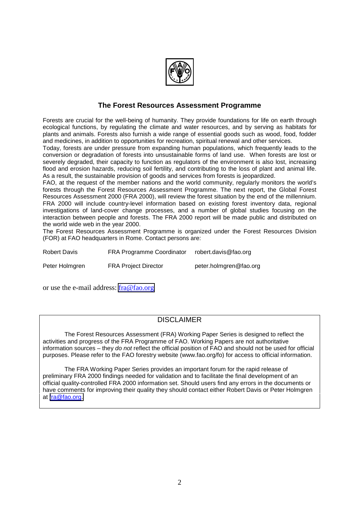

#### **The Forest Resources Assessment Programme**

Forests are crucial for the well-being of humanity. They provide foundations for life on earth through ecological functions, by regulating the climate and water resources, and by serving as habitats for plants and animals. Forests also furnish a wide range of essential goods such as wood, food, fodder and medicines, in addition to opportunities for recreation, spiritual renewal and other services.

Today, forests are under pressure from expanding human populations, which frequently leads to the conversion or degradation of forests into unsustainable forms of land use. When forests are lost or severely degraded, their capacity to function as regulators of the environment is also lost, increasing flood and erosion hazards, reducing soil fertility, and contributing to the loss of plant and animal life. As a result, the sustainable provision of goods and services from forests is jeopardized.

FAO, at the request of the member nations and the world community, regularly monitors the world's forests through the Forest Resources Assessment Programme. The next report, the Global Forest Resources Assessment 2000 (FRA 2000), will review the forest situation by the end of the millennium. FRA 2000 will include country-level information based on existing forest inventory data, regional investigations of land-cover change processes, and a number of global studies focusing on the interaction between people and forests. The FRA 2000 report will be made public and distributed on the world wide web in the year 2000.

The Forest Resources Assessment Programme is organized under the Forest Resources Division (FOR) at FAO headquarters in Rome. Contact persons are:

| <b>Robert Davis</b> | <b>FRA Programme Coordinator</b> | robert.davis@fao.org   |
|---------------------|----------------------------------|------------------------|
| Peter Holmgren      | <b>FRA Project Director</b>      | peter.holmgren@fao.org |

or use the e-mail address: [fra@fao.org](mailto:fra@fao.org)

#### DISCLAIMER

The Forest Resources Assessment (FRA) Working Paper Series is designed to reflect the activities and progress of the FRA Programme of FAO. Working Papers are not authoritative information sources – they *do not* reflect the official position of FAO and should not be used for official purposes. Please refer to the FAO forestry website (www.fao.org/fo) for access to official information.

The FRA Working Paper Series provides an important forum for the rapid release of preliminary FRA 2000 findings needed for validation and to facilitate the final development of an official quality-controlled FRA 2000 information set. Should users find any errors in the documents or have comments for improving their quality they should contact either Robert Davis or Peter Holmgren at [fra@fao.org.](mailto:fra@fao.org)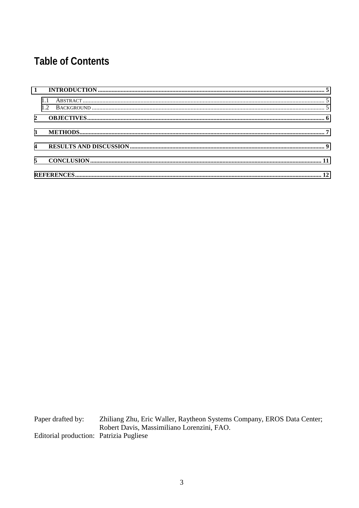## **Table of Contents**

Paper drafted by: Zhiliang Zhu, Eric Waller, Raytheon Systems Company, EROS Data Center; Robert Davis, Massimiliano Lorenzini, FAO. Editorial production: Patrizia Pugliese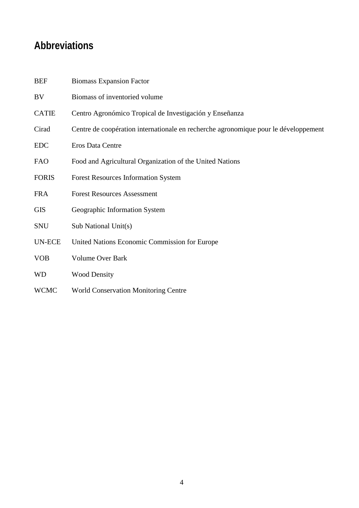## **Abbreviations**

| <b>BEF</b>    | <b>Biomass Expansion Factor</b>                                                     |
|---------------|-------------------------------------------------------------------------------------|
| BV            | Biomass of inventoried volume                                                       |
| <b>CATIE</b>  | Centro Agronómico Tropical de Investigación y Enseñanza                             |
| Cirad         | Centre de coopération internationale en recherche agronomique pour le développement |
| <b>EDC</b>    | Eros Data Centre                                                                    |
| <b>FAO</b>    | Food and Agricultural Organization of the United Nations                            |
| <b>FORIS</b>  | <b>Forest Resources Information System</b>                                          |
| <b>FRA</b>    | <b>Forest Resources Assessment</b>                                                  |
| <b>GIS</b>    | Geographic Information System                                                       |
| <b>SNU</b>    | Sub National Unit(s)                                                                |
| <b>UN-ECE</b> | United Nations Economic Commission for Europe                                       |
| <b>VOB</b>    | <b>Volume Over Bark</b>                                                             |
| <b>WD</b>     | <b>Wood Density</b>                                                                 |
| <b>WCMC</b>   | <b>World Conservation Monitoring Centre</b>                                         |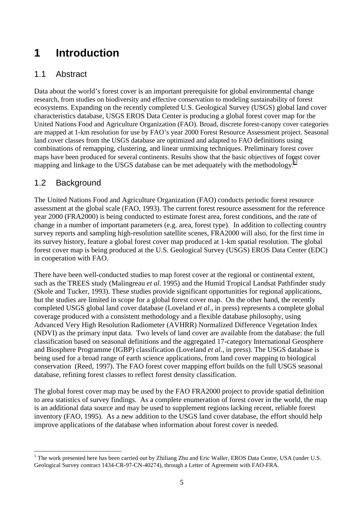# <span id="page-4-0"></span>**1 Introduction**

#### 1.1 Abstract

Data about the world's forest cover is an important prerequisite for global environmental change research, from studies on biodiversity and effective conservation to modeling sustainability of forest ecosystems. Expanding on the recently completed U.S. Geological Survey (USGS) global land cover characteristics database, USGS EROS Data Center is producing a global forest cover map for the United Nations Food and Agriculture Organization (FAO). Broad, discrete forest-canopy cover categories are mapped at 1-km resolution for use by FAO's year 2000 Forest Resource Assessment project. Seasonal land cover classes from the USGS database are optimized and adapted to FAO definitions using combinations of remapping, clustering, and linear unmixing techniques. Preliminary forest cover maps have been produced for several continents. Results show that the basic objectives of forest cover mapping and linkage to the USGS database can be met adequately with the methodology.<sup>1</sup>

#### 1.2 Background

The United Nations Food and Agriculture Organization (FAO) conducts periodic forest resource assessment at the global scale (FAO, 1993). The current forest resource assessment for the reference year 2000 (FRA2000) is being conducted to estimate forest area, forest conditions, and the rate of change in a number of important parameters (e.g. area, forest type). In addition to collecting country survey reports and sampling high-resolution satellite scenes, FRA2000 will also, for the first time in its survey history, feature a global forest cover map produced at 1-km spatial resolution. The global forest cover map is being produced at the U.S. Geological Survey (USGS) EROS Data Center (EDC) in cooperation with FAO.

There have been well-conducted studies to map forest cover at the regional or continental extent, such as the TREES study (Malingreau *et al.* 1995) and the Humid Tropical Landsat Pathfinder study (Skole and Tucker, 1993). These studies provide significant opportunities for regional applications, but the studies are limited in scope for a global forest cover map. On the other hand, the recently completed USGS global land cover database (Loveland *et al*., in press) represents a complete global coverage produced with a consistent methodology and a flexible database philosophy, using Advanced Very High Resolution Radiometer (AVHRR) Normalized Difference Vegetation Index (NDVI) as the primary input data. Two levels of land cover are available from the database: the full classification based on seasonal definitions and the aggregated 17-category International Geosphere and Biosphere Programme (IGBP) classification (Loveland *et al*., in press). The USGS database is being used for a broad range of earth science applications, from land cover mapping to biological conservation (Reed, 1997). The FAO forest cover mapping effort builds on the full USGS seasonal database, refining forest classes to reflect forest density classification.

The global forest cover map may be used by the FAO FRA2000 project to provide spatial definition to area statistics of survey findings. As a complete enumeration of forest cover in the world, the map is an additional data source and may be used to supplement regions lacking recent, reliable forest inventory (FAO, 1995). As a new addition to the USGS land cover database, the effort should help improve applications of the database when information about forest cover is needed.

 $\overline{a}$ <sup>1</sup> The work presented here has been carried out by Zhiliang Zhu and Eric Waller, EROS Data Centre, USA (under U.S. Geological Survey contract 1434-CR-97-CN-40274), through a Letter of Agreement with FAO-FRA.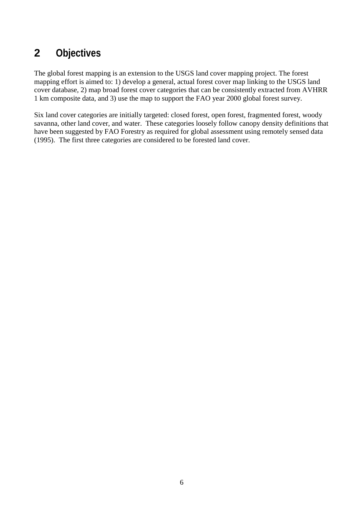## <span id="page-5-0"></span>**2 Objectives**

The global forest mapping is an extension to the USGS land cover mapping project. The forest mapping effort is aimed to: 1) develop a general, actual forest cover map linking to the USGS land cover database, 2) map broad forest cover categories that can be consistently extracted from AVHRR 1 km composite data, and 3) use the map to support the FAO year 2000 global forest survey.

Six land cover categories are initially targeted: closed forest, open forest, fragmented forest, woody savanna, other land cover, and water. These categories loosely follow canopy density definitions that have been suggested by FAO Forestry as required for global assessment using remotely sensed data (1995). The first three categories are considered to be forested land cover.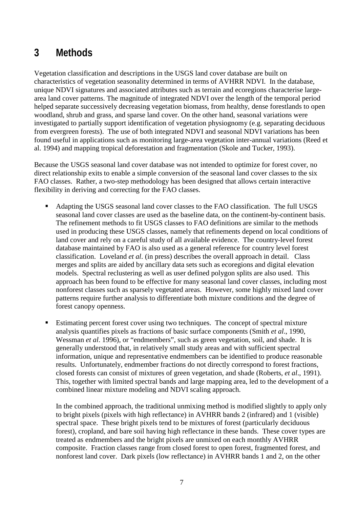#### <span id="page-6-0"></span>**3 Methods**

Vegetation classification and descriptions in the USGS land cover database are built on characteristics of vegetation seasonality determined in terms of AVHRR NDVI. In the database, unique NDVI signatures and associated attributes such as terrain and ecoregions characterise largearea land cover patterns. The magnitude of integrated NDVI over the length of the temporal period helped separate successively decreasing vegetation biomass, from healthy, dense forestlands to open woodland, shrub and grass, and sparse land cover. On the other hand, seasonal variations were investigated to partially support identification of vegetation physiognomy (e.g. separating deciduous from evergreen forests). The use of both integrated NDVI and seasonal NDVI variations has been found useful in applications such as monitoring large-area vegetation inter-annual variations (Reed et al. 1994) and mapping tropical deforestation and fragmentation (Skole and Tucker, 1993).

Because the USGS seasonal land cover database was not intended to optimize for forest cover, no direct relationship exits to enable a simple conversion of the seasonal land cover classes to the six FAO classes. Rather, a two-step methodology has been designed that allows certain interactive flexibility in deriving and correcting for the FAO classes.

- Adapting the USGS seasonal land cover classes to the FAO classification. The full USGS seasonal land cover classes are used as the baseline data, on the continent-by-continent basis. The refinement methods to fit USGS classes to FAO definitions are similar to the methods used in producing these USGS classes, namely that refinements depend on local conditions of land cover and rely on a careful study of all available evidence. The country-level forest database maintained by FAO is also used as a general reference for country level forest classification. Loveland *et al*. (in press) describes the overall approach in detail. Class merges and splits are aided by ancillary data sets such as ecoregions and digital elevation models. Spectral reclustering as well as user defined polygon splits are also used. This approach has been found to be effective for many seasonal land cover classes, including most nonforest classes such as sparsely vegetated areas. However, some highly mixed land cover patterns require further analysis to differentiate both mixture conditions and the degree of forest canopy openness.
- Estimating percent forest cover using two techniques. The concept of spectral mixture analysis quantifies pixels as fractions of basic surface components (Smith *et al*., 1990, Wessman *et al*. 1996), or "endmembers", such as green vegetation, soil, and shade. It is generally understood that, in relatively small study areas and with sufficient spectral information, unique and representative endmembers can be identified to produce reasonable results. Unfortunately, endmember fractions do not directly correspond to forest fractions, closed forests can consist of mixtures of green vegetation, and shade (Roberts, *et al*., 1991). This, together with limited spectral bands and large mapping area, led to the development of a combined linear mixture modeling and NDVI scaling approach.

In the combined approach, the traditional unmixing method is modified slightly to apply only to bright pixels (pixels with high reflectance) in AVHRR bands 2 (infrared) and 1 (visible) spectral space. These bright pixels tend to be mixtures of forest (particularly deciduous forest), cropland, and bare soil having high reflectance in these bands. These cover types are treated as endmembers and the bright pixels are unmixed on each monthly AVHRR composite. Fraction classes range from closed forest to open forest, fragmented forest, and nonforest land cover. Dark pixels (low reflectance) in AVHRR bands 1 and 2, on the other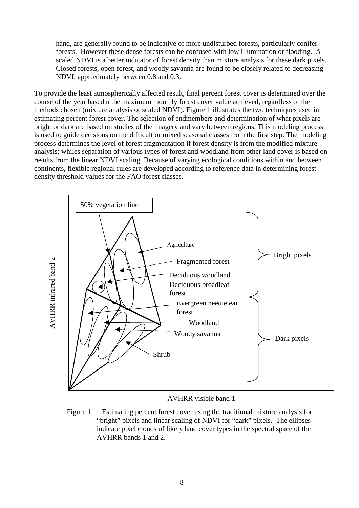hand, are generally found to be indicative of more undisturbed forests, particularly conifer forests. However these dense forests can be confused with low illumination or flooding. A scaled NDVI is a better indicator of forest density than mixture analysis for these dark pixels. Closed forests, open forest, and woody savanna are found to be closely related to decreasing NDVI, approximately between 0.8 and 0.3.

To provide the least atmospherically affected result, final percent forest cover is determined over the course of the year based n the maximum monthly forest cover value achieved, regardless of the methods chosen (mixture analysis or scaled NDVI). Figure 1 illustrates the two techniques used in estimating percent forest cover. The selection of endmembers and determination of what pixels are bright or dark are based on studies of the imagery and vary between regions. This modeling process is used to guide decisions on the difficult or mixed seasonal classes from the first step. The modeling process determines the level of forest fragmentation if forest density is from the modified mixture analysis; whiles separation of various types of forest and woodland from other land cover is based on results from the linear NDVI scaling. Because of varying ecological conditions within and between continents, flexible regional rules are developed according to reference data in determining forest density threshold values for the FAO forest classes.



#### AVHRR visible band 1

Figure 1.— Estimating percent forest cover using the traditional mixture analysis for "bright" pixels and linear scaling of NDVI for "dark" pixels. The ellipses indicate pixel clouds of likely land cover types in the spectral space of the AVHRR bands 1 and 2.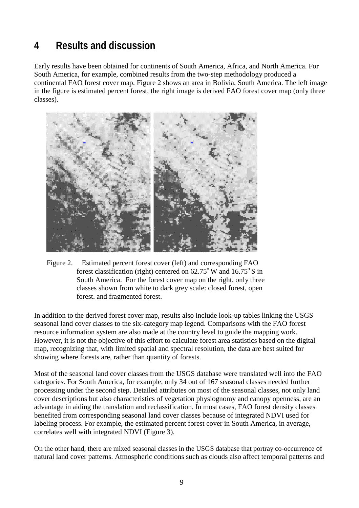## <span id="page-8-0"></span>**4 Results and discussion**

Early results have been obtained for continents of South America, Africa, and North America. For South America, for example, combined results from the two-step methodology produced a continental FAO forest cover map. Figure 2 shows an area in Bolivia, South America. The left image in the figure is estimated percent forest, the right image is derived FAO forest cover map (only three classes).



Figure 2.— Estimated percent forest cover (left) and corresponding FAO forest classification (right) centered on  $62.75^{\circ}$  W and  $16.75^{\circ}$  S in South America. For the forest cover map on the right, only three classes shown from white to dark grey scale: closed forest, open forest, and fragmented forest.

In addition to the derived forest cover map, results also include look-up tables linking the USGS seasonal land cover classes to the six-category map legend. Comparisons with the FAO forest resource information system are also made at the country level to guide the mapping work. However, it is not the objective of this effort to calculate forest area statistics based on the digital map, recognizing that, with limited spatial and spectral resolution, the data are best suited for showing where forests are, rather than quantity of forests.

Most of the seasonal land cover classes from the USGS database were translated well into the FAO categories. For South America, for example, only 34 out of 167 seasonal classes needed further processing under the second step. Detailed attributes on most of the seasonal classes, not only land cover descriptions but also characteristics of vegetation physiognomy and canopy openness, are an advantage in aiding the translation and reclassification. In most cases, FAO forest density classes benefited from corresponding seasonal land cover classes because of integrated NDVI used for labeling process. For example, the estimated percent forest cover in South America, in average, correlates well with integrated NDVI (Figure 3).

On the other hand, there are mixed seasonal classes in the USGS database that portray co-occurrence of natural land cover patterns. Atmospheric conditions such as clouds also affect temporal patterns and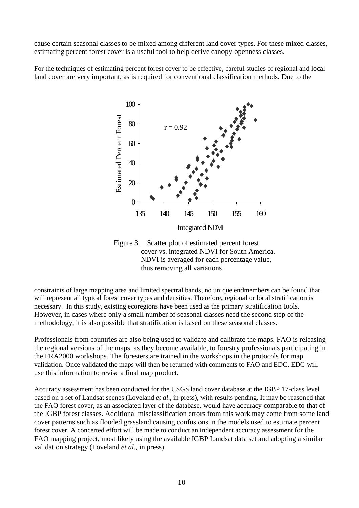cause certain seasonal classes to be mixed among different land cover types. For these mixed classes, estimating percent forest cover is a useful tool to help derive canopy-openness classes.

For the techniques of estimating percent forest cover to be effective, careful studies of regional and local land cover are very important, as is required for conventional classification methods. Due to the



Figure 3.—Scatter plot of estimated percent forest cover vs. integrated NDVI for South America. NDVI is averaged for each percentage value, thus removing all variations.

constraints of large mapping area and limited spectral bands, no unique endmembers can be found that will represent all typical forest cover types and densities. Therefore, regional or local stratification is necessary. In this study, existing ecoregions have been used as the primary stratification tools. However, in cases where only a small number of seasonal classes need the second step of the methodology, it is also possible that stratification is based on these seasonal classes.

Professionals from countries are also being used to validate and calibrate the maps. FAO is releasing the regional versions of the maps, as they become available, to forestry professionals participating in the FRA2000 workshops. The foresters are trained in the workshops in the protocols for map validation. Once validated the maps will then be returned with comments to FAO and EDC. EDC will use this information to revise a final map product.

Accuracy assessment has been conducted for the USGS land cover database at the IGBP 17-class level based on a set of Landsat scenes (Loveland *et al*., in press), with results pending. It may be reasoned that the FAO forest cover, as an associated layer of the database, would have accuracy comparable to that of the IGBP forest classes. Additional misclassification errors from this work may come from some land cover patterns such as flooded grassland causing confusions in the models used to estimate percent forest cover. A concerted effort will be made to conduct an independent accuracy assessment for the FAO mapping project, most likely using the available IGBP Landsat data set and adopting a similar validation strategy (Loveland *et al*., in press).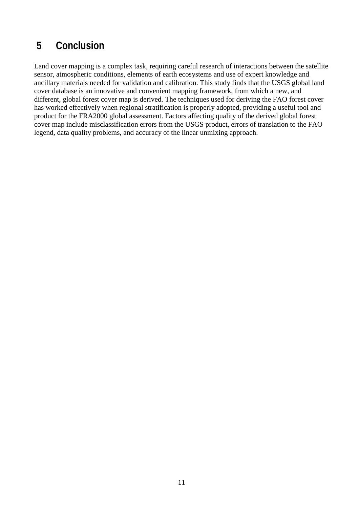## <span id="page-10-0"></span> **5 Conclusion**

Land cover mapping is a complex task, requiring careful research of interactions between the satellite sensor, atmospheric conditions, elements of earth ecosystems and use of expert knowledge and ancillary materials needed for validation and calibration. This study finds that the USGS global land cover database is an innovative and convenient mapping framework, from which a new, and different, global forest cover map is derived. The techniques used for deriving the FAO forest cover has worked effectively when regional stratification is properly adopted, providing a useful tool and product for the FRA2000 global assessment. Factors affecting quality of the derived global forest cover map include misclassification errors from the USGS product, errors of translation to the FAO legend, data quality problems, and accuracy of the linear unmixing approach.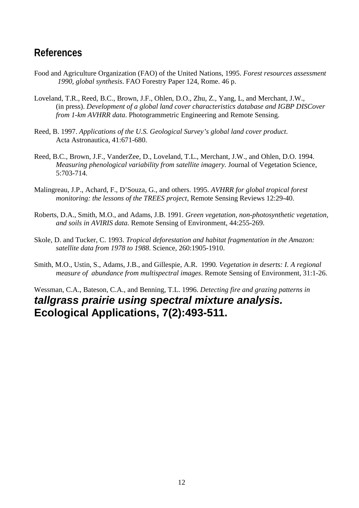#### <span id="page-11-0"></span>**References**

- Food and Agriculture Organization (FAO) of the United Nations, 1995. *Forest resources assessment 1990, global synthesis*. FAO Forestry Paper 124, Rome. 46 p.
- Loveland, T.R., Reed, B.C., Brown, J.F., Ohlen, D.O., Zhu, Z., Yang, L, and Merchant, J.W., (in press). *Development of a global land cover characteristics database and IGBP DISCover from 1-km AVHRR data*. Photogrammetric Engineering and Remote Sensing.
- Reed, B. 1997. *Applications of the U.S. Geological Survey's global land cover product*. Acta Astronautica, 41:671-680.
- Reed, B.C., Brown, J.F., VanderZee, D., Loveland, T.L., Merchant, J.W., and Ohlen, D.O. 1994. *Measuring phenological variability from satellite imagery.* Journal of Vegetation Science, 5:703-714.
- Malingreau, J.P., Achard, F., D'Souza, G., and others. 1995. *AVHRR for global tropical forest monitoring: the lessons of the TREES project*, Remote Sensing Reviews 12:29-40.
- Roberts, D.A., Smith, M.O., and Adams, J.B. 1991. *Green vegetation, non-photosynthetic vegetation, and soils in AVIRIS data.* Remote Sensing of Environment, 44:255-269.
- Skole, D. and Tucker, C. 1993. *Tropical deforestation and habitat fragmentation in the Amazon: satellite data from 1978 to 1988*. Science, 260:1905-1910.
- Smith, M.O., Ustin, S., Adams, J.B., and Gillespie, A.R. 1990*. Vegetation in deserts: I. A regional measure of abundance from multispectral images*. Remote Sensing of Environment, 31:1-26.

#### Wessman, C.A., Bateson, C.A., and Benning, T.L. 1996. *Detecting fire and grazing patterns in tallgrass prairie using spectral mixture analysis.* **Ecological Applications, 7(2):493-511.**